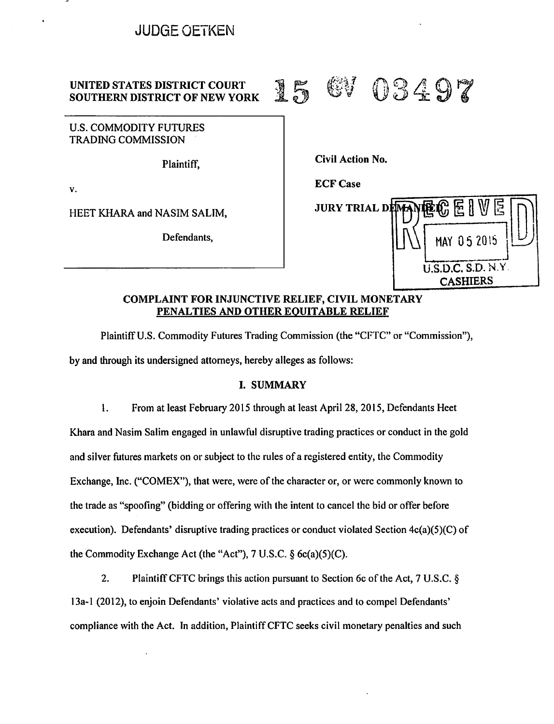# JUDGE OETKEN

# UNITED STATES DISTRICT COURT<br>SOUTHERN DISTRICT OF NEW YORK 15 GV 03497

U.S. COMMODITY FUTURES TRADING COMMISSION

Plaintiff,

v.

HEET KHARA and NASIM SALIM, **JURY TRIAL DI** 

Defendants,

Civil Action No.

**ECF Case** 



## COMPLAINT FOR INJUNCTIVE RELIEF, CIVIL MONETARY PENALTIES AND OTHER EQUITABLE RELIEF

Plaintiff U.S. Commodity Futures Trading Commission (the "CFTC" or "Commission"), by and through its undersigned attorneys, hereby alleges as follows:

# I. SUMMARY

l. From at least February 2015 through at least April 28, 2015, Defendants Heet Khara and Nasim Salim engaged in unlawful disruptive trading practices or conduct in the gold and silver futures markets on or subject to the rules of a registered entity, the Commodity Exchange, Inc. ("COMEX"), that were, were of the character or, or were commonly known to the trade as "spoofing" (bidding or offering with the intent to cancel the bid or offer before execution). Defendants' disruptive trading practices or conduct violated Section 4c(a)(5)(C) of the Commodity Exchange Act (the "Act"), 7 U.S.C. § 6c(a)(5)(C).

2. Plaintiff CFTC brings this action pursuant to Section 6c of the Act, 7 U.S.C. § 13a-1 (2012), to enjoin Defendants' violative acts and practices and to compel Defendants' compliance with the Act. In addition, Plaintiff CFTC seeks civil monetary penalties and such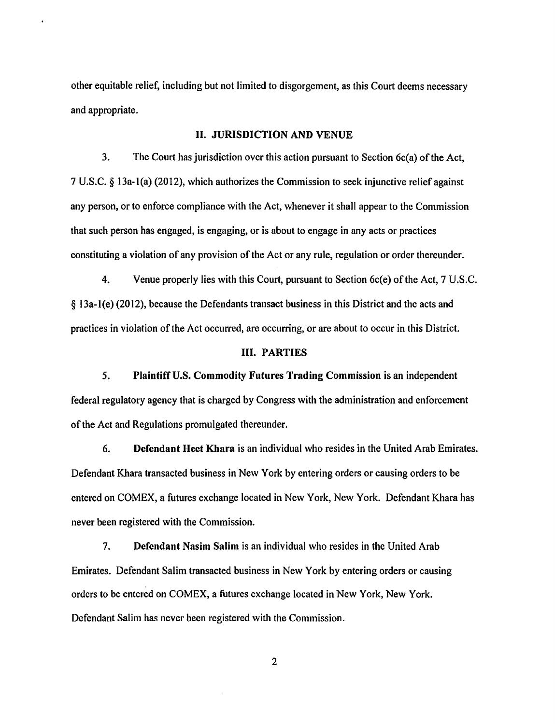other equitable relief, including but not limited to disgorgement, as this Court deems necessary and appropriate.

#### II. JURISDICTION AND VENUE

3. The Court has jurisdiction over this action pursuant to Section 6c(a) of the Act, 7 U.S.C. § 13a-l(a) (2012), which authorizes the Commission to seek injunctive relief against any person, or to enforce compliance with the Act, whenever it shall appear to the Commission that such person has engaged, is engaging, or is about to engage in any acts or practices constituting a violation of any provision of the Act or any rule, regulation or order thereunder.

4. Venue properly lies with this Court, pursuant to Section 6c(e) of the Act, 7 U.S.C. § 13a-l(e) (2012), because the Defendants transact business in this District and the acts and practices in violation of the Act occurred, are occurring, or are about to occur in this District.

#### III. PARTIES

5. Plaintiff U.S. Commodity Futures Trading Commission is an independent federal regulatory agency that is charged by Congress with the administration and enforcement of the Act and Regulations promulgated thereunder.

6. Defendant Hcet Khara is an individual who resides in the United Arab Emirates. Defendant Khara transacted business in New York by entering orders or causing orders to be entered on COMEX, a futures exchange located in New York, New York. Defendant Khara has never been registered with the Commission.

7. Defendant Nasim Salim is an individual who resides in the United Arab Emirates. Defendant Salim transacted business in New York by entering orders or causing orders to be entered on COMEX, a futures exchange located in New York, New York. Defendant Salim has never been registered with the Commission.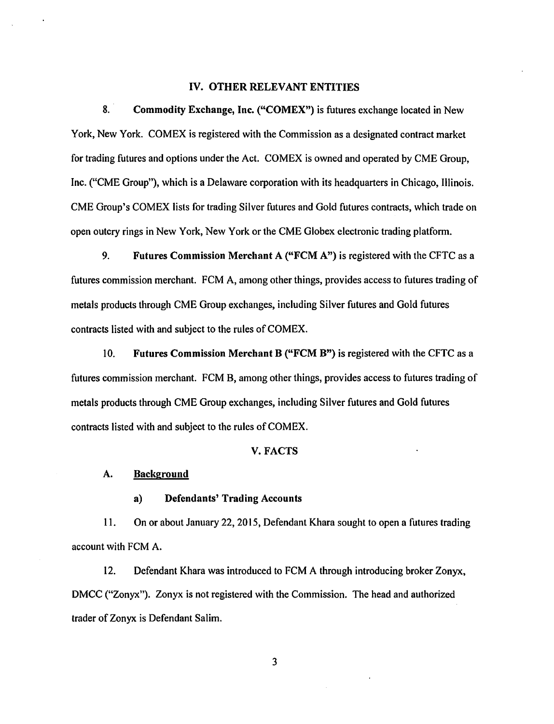#### IV. OTHER RELEVANT ENTITIES

8. Commodity Exchange, Inc. ("COMEX") is futures exchange located in New York, New York. COMEX is registered with the Commission as a designated contract market for trading futures and options under the Act. COMEX is owned and operated by CME Group, Inc. ("CME Group"), which is a Delaware corporation with its headquarters in Chicago, Illinois. CME Group's COMEX lists for trading Silver futures and Gold futures contracts, which trade on open outcry rings in New York, New York or the CME Globex electronic trading platform.

9. Futures Commission Merchant A ("FCM A") is registered with the CFTC as a futures commission merchant. FCM A, among other things, provides access to futures trading of metals products through CME Group exchanges, including Silver futures and Gold futures contracts listed with and subject to the rules of COMEX.

10. Futures Commission Merchant B ("FCM B") is registered with the CFTC as a futures commission merchant. FCM B, among other things, provides access to futures trading of metals products through CME Group exchanges, including Silver futures and Gold futures contracts listed with and subject to the rules of COMEX.

#### V. FACTS

#### A. Background

a) Defendants' Trading Accounts

11. On or about January 22, 2015, Defendant Khara sought to open a futures trading account with FCM A.

12. Defendant Khara was introduced to FCM A through introducing broker Zonyx, DMCC ("Zonyx"). Zonyx is not registered with the Commission. The head and authorized trader of Zonyx is Defendant Salim.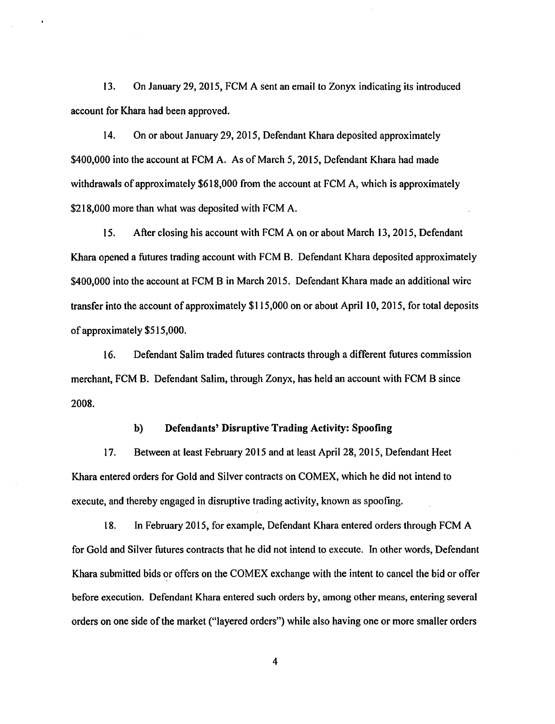13. On January 29, 2015, FCM A sent an email to Zonyx indicating its introduced account for Khara had been approved.

14. On or about January 29, 2015, Defendant Khara deposited approximately \$400,000 into the account at FCM A. As of March 5, 2015, Defendant Khara had made withdrawals of approximately \$618,000 from the account at FCM A, which is approximately \$218,000 more than what was deposited with FCM A.

15. After closing his account with FCM A on or about March 13, 2015, Defendant Khara opened a futures trading account with FCM B. Defendant Khara deposited approximately \$400,000 into the account at FCM B in March 2015. Defendant Khara made an additional wire transfer into the account of approximately \$115,000 on or about April l 0, 2015, for total deposits of approximately \$515,000.

16. Defendant Salim traded futures contracts through a different futures commission merchant, FCM B. Defendant Salim, through Zonyx, has held an account with FCM B since 2008.

#### b) Defendants' Disruptive Trading Activity: Spoofing

17. Between at least February 20 IS and at least April 28, 2015, Defendant Heet Khara entered orders for Gold and Silver contracts on COMEX, which he did not intend to execute, and thereby engaged in disruptive trading activity, known as spoofing.

18. In February 2015, for example, Defendant Khara entered orders through FCM A for Gold and Silver futures contracts that he did not intend to execute. In other words, Defendant Khara submitted bids or offers on the COMEX exchange with the intent to cancel the bid or offer before execution. Defendant Khara entered such orders by, among other means, entering several orders on one side of the market ("layered orders") while also having one or more smaller orders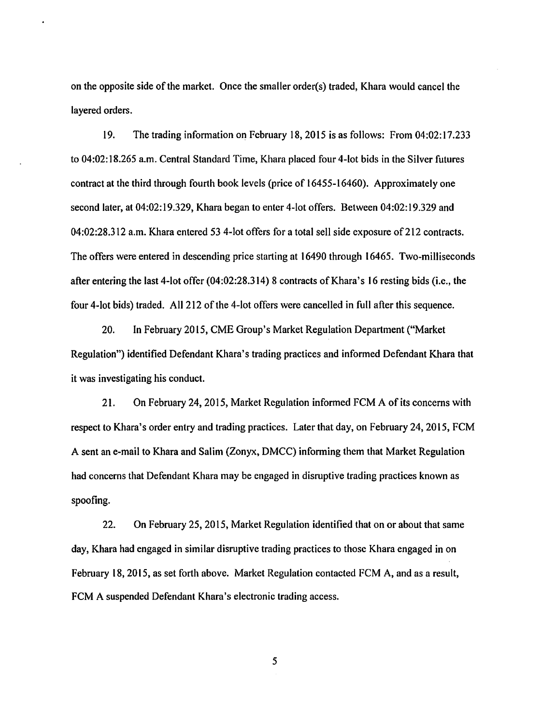on the opposite side of the market. Once the smaller order(s) traded, Khara would cancel the layered orders.

19. The trading information on February 18, 2015 is as follows: From 04:02:17.233 to 04:02:18.265 a.m. Central Standard Time, Khara placed four 4-lot bids in the Silver futures contract at the third through fourth book levels (price of 16455-16460). Approximately one second later, at 04:02:19.329, Khara began to enter 4-lot offers. Between 04:02:19.329 and 04:02:28.312 a.m. Khara entered 53 4-lot offers for a total sell side exposure of 212 contracts. The offers were entered in descending price starting at 16490 through 16465. Two-milliseconds after entering the last 4-lot offer  $(04:02:28.314)$  8 contracts of Khara's 16 resting bids (i.e., the four 4-lot bids) traded. All 212 of the 4-lot offers were cancelled in full after this sequence.

20. In February 2015, CME Group's Market Regulation Department ("Market Regulation") identified Defendant Khara's trading practices and informed Defendant Khara that it was investigating his conduct.

21. On February 24, 2015, Market Regulation informed FCM A of its concerns with respect to Khara's order entry and trading practices. Later that day, on February 24, 2015, FCM A sent an e-mail to Khara and Salim (Zonyx, DMCC) informing them that Market Regulation had concerns that Defendant Khara may be engaged in disruptive trading practices known as spoofing.

22. On February 25, 2015, Market Regulation identified that on or about that same day, Khara had engaged in similar disruptive trading practices to those Khara engaged in on February 18, 2015, as set forth above. Market Regulation contacted FCM A, and as a result, FCM A suspended Defendant Khara's electronic trading access.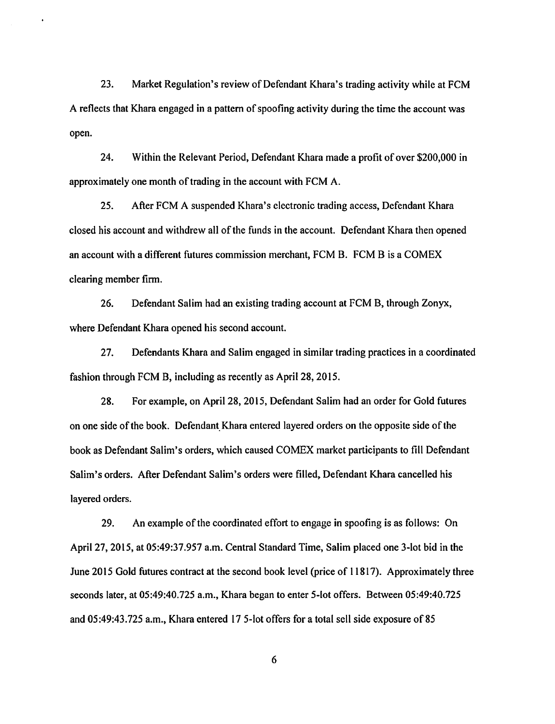23. Market Regulation's review of Defendant Khara's trading activity while at FCM A reflects that Khara engaged in a pattern of spoofing activity during the time the account was open.

24. Within the Relevant Period, Defendant Khara made a profit of over \$200,000 in approximately one month of trading in the account with FCM A.

25. After FCM A suspended Khara's electronic trading access, Defendant Khara closed his account and withdrew all of the funds in the account. Defendant Khara then opened an account with a different futures commission merchant, FCM B. FCM B is a COMEX clearing member firm.

26. Defendant Salim had an existing trading account at FCM B, through Zonyx, where Defendant Khara opened his second account.

27. Defendants Khara and Salim engaged in similar trading practices in a coordinated fashion through FCM B, including as recently as April28, 2015.

28. For example, on April28, 2015, Defendant Salim had an order for Gold futures on one side of the book. Defendant.Khara entered layered orders on the opposite side of the book as Defendant Salim's orders, which caused COMEX market participants to fill Defendant Salim's orders. After Defendant Salim's orders were filled, Defendant Khara cancelled his layered orders.

29. An example of the coordinated effort to engage in spoofing is as follows: On April27, 2015, at 05:49:37.957 a.m. Central Standard Time, Salim placed one 3-lot bid in the June 2015 Gold futures contract at the second book level (price of 11817). Approximately three seconds later, at 05:49:40.725 a.m., Khara began to enter 5-lot offers. Between 05:49:40.725 and 05:49:43.725 a.m., Khara entered 17 5-lot offers for a total sell side exposure of 85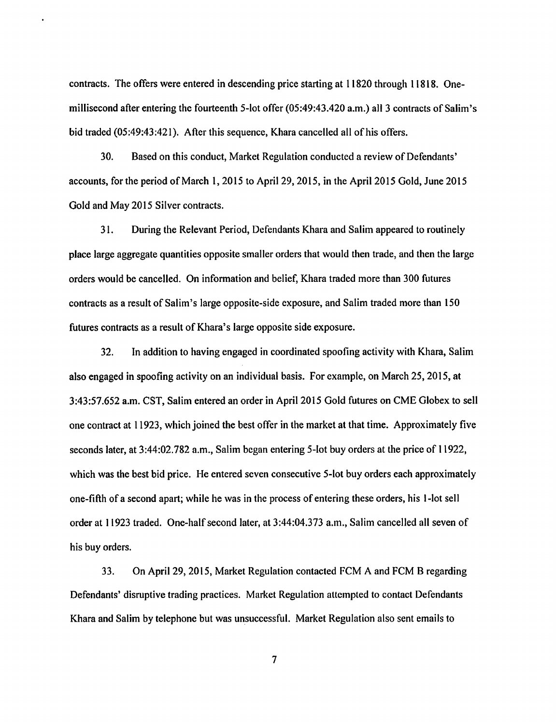contracts. The offers were entered in descending price starting at 11820 through 11818. Onemillisecond after entering the fourteenth 5-lot offer  $(05:49:43.420$  a.m.) all 3 contracts of Salim's bid traded (05:49:43:421). After this sequence, Khara cancelled all of his offers.

30. Based on this conduct, Market Regulation conducted a review of Defendants' accounts, for the period of March 1, 2015 to April 29, 2015, in the April 2015 Gold, June 2015 Gold and May 2015 Silver contracts.

31. During the Relevant Period, Defendants Khara and Salim appeared to routinely place large aggregate quantities opposite smaller orders that would then trade, and then the large orders would be cancelled. On information and belief, Khara traded more than 300 futures contracts as a result of Salim's large opposite-side exposure, and Salim traded more than 150 futures contracts as a result of Khara's large opposite side exposure.

32. In addition to having engaged in coordinated spoofing activity with Khara, Salim also engaged in spoofing activity on an individual basis. For example, on March 25, 2015, at 3:43:57.652 a.m. CST, Salim entered an order in April2015 Gold futures on CME Globex to sell one contract at 11923, which joined the best offer in the market at that time. Approximately five seconds later, at 3:44:02.782 a.m., Salim began entering 5-lot buy orders at the price of 11922, which was the best bid price. He entered seven consecutive 5-lot buy orders each approximately one-fifth of a second apart; while he was in the process of entering these orders, his 1-lot sell order at 11923 traded. One-half second later, at 3:44:04.373 a.m., Salim cancelled all seven of his buy orders.

33. On April 29, 2015, Market Regulation contacted FCM A and FCM B regarding Defendants' disruptive trading practices. Market Regulation attempted to contact Defendants Khara and Salim by telephone but was unsuccessful. Market Regulation also sent emails to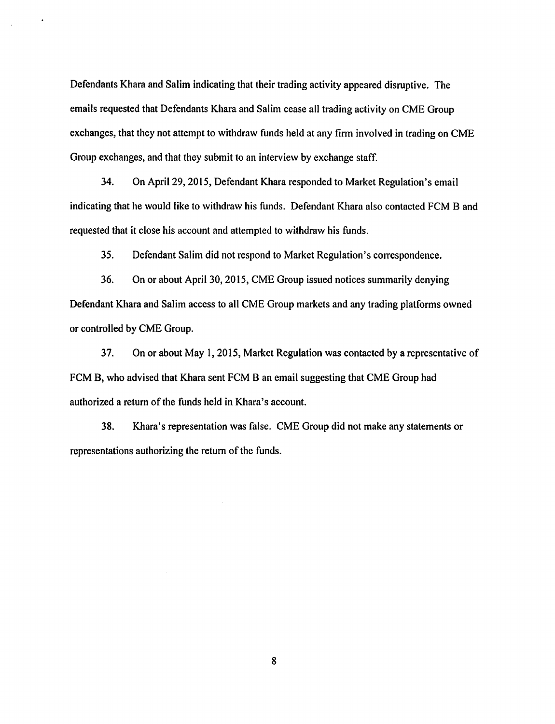Defendants Khara and Salim indicating that their trading activity appeared disruptive. The emails requested that Defendants Khara and Salim cease all trading activity on CME Group exchanges, that they not attempt to withdraw funds held at any firm involved in trading on CME Group exchanges, and that they submit to an interview by exchange staff.

34. On April29, 2015, Defendant Khara responded to Market Regulation's email indicating that he would like to withdraw his funds. Defendant Khara also contacted FCM B and requested that it close his account and attempted to withdraw his funds.

35. Defendant Salim did not respond to Market Regulation's correspondence.

36. On or about April 30, 2015, CME Group issued notices summarily denying Defendant Khara and Salim access to all CME Group markets and any trading platforms owned or controlled by CME Group.

37. On or about May I, 2015, Market Regulation was contacted by a representative of FCM B, who advised that Khara sent FCM B an email suggesting that CME Group had authorized a return of the funds held in Khara's account.

38. Khara's representation was false. CME Group did not make any statements or representations authorizing the return of the funds.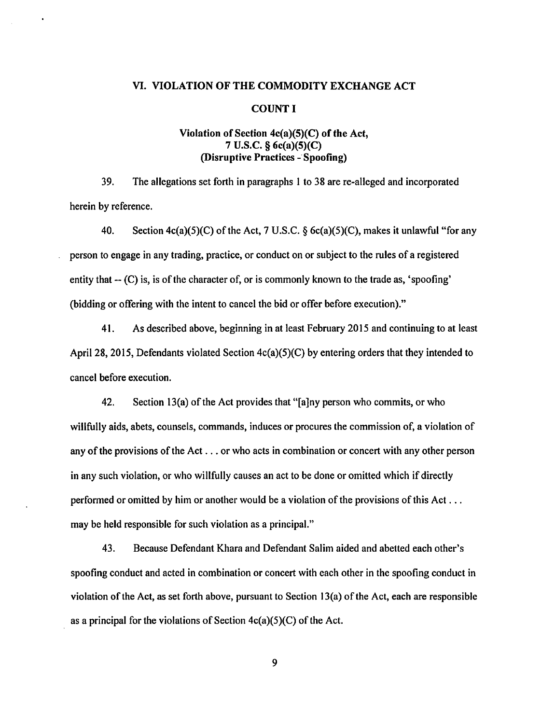#### VI. VIOLATION OF THE COMMODITY EXCHANGE ACT

#### COUNT I

# Violation of Section  $4c(a)(5)(C)$  of the Act, 7 U.S.C. § 6c(a)(5)(C) (Disruptive Practices-· Spoofing)

39. The allegations set forth in paragraphs I to 38 are re-alleged and incorporated herein by reference.

40. Section  $4c(a)(5)(C)$  of the Act, 7 U.S.C. § 6c(a)(5)(C), makes it unlawful "for any person to engage in any trading, practice, or conduct on or subject to the rules of a registered entity that  $-$  (C) is, is of the character of, or is commonly known to the trade as, 'spoofing' (bidding or offering with the intent to cancel the bid or offer before execution)."

41. As described above, beginning in at least February 2015 and continuing to at least April28, 2015, Defendants violated Section 4c(a)(5)(C) by entering orders that they intended to cancel before execution.

42. Section 13(a) of the Act provides that "[a]ny person who commits, or who willfully aids, abets, counsels, commands, induces or procures the commission of, a violation of any of the provisions of the Act ... or who acts in combination or concert with any other person in any such violation, or who willfully causes an act to be done or omitted which if directly performed or omitted by him or another would be a violation of the provisions of this Act ... may be held responsible for such violation as a principal."

43. Because Defendant Khara and Defendant Salim aided and abetted each other's spoofing conduct and acted in combination or concert with each other in the spoofing conduct in violation of the Act, as set forth above, pursuant to Section 13(a) of the Act, each are responsible as a principal for the violations of Section  $4c(a)(5)(C)$  of the Act.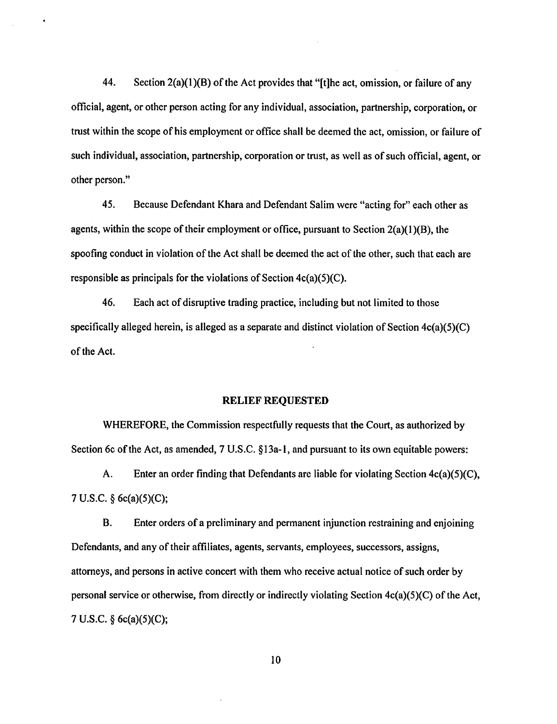44. Section 2(a)(l )(B) of the Act provides that "[t]he act, omission, or failure of any official, agent, or other person acting for any individual, association, partnership, corporation, or trust within the scope of his employment or office shall be deemed the act, omission, or failure of such individual, association, partnership, corporation or trust, as well as of such official, agent, or other person."

45. Because Defendant Khara and Defendant Salim were "acting for" each other as agents, within the scope of their employment or office, pursuant to Section  $2(a)(1)(B)$ , the spoofing conduct in violation of the Act shall be deemed the act of the other, such that each are responsible as principals for the violations of Section 4c(a)(5)(C).

46. Each act of disruptive tmding practice, including but not limited to those specifically alleged herein, is alleged as a separate and distinct violation of Section 4c(a)(5)(C) of the Act.

#### RELIEF REQUESTED

WHEREFORE, the Commission respectfully requests that the Court, as authorized by Section 6c of the Act, as amended, 7 U.S.C. §13a-1, and pursuant to its own equitable powers:

A. Enter an order finding that Defendants are liable for violating Section 4c(a)(5)(C), 7 U.S.C. § 6c(a)(5)(C);

B. Enter orders of a preliminary and permanent injunction restraining and enjoining Defendants, and any of their affiliates, agents, servants, employees, successors, assigns, attorneys, and persons in active concert with them who receive actual notice of such order by personal service or otherwise, from directly or indirectly violating Section 4c(a)(5)(C) of the Act, 7 U.S.C. § 6c(a)(5)(C);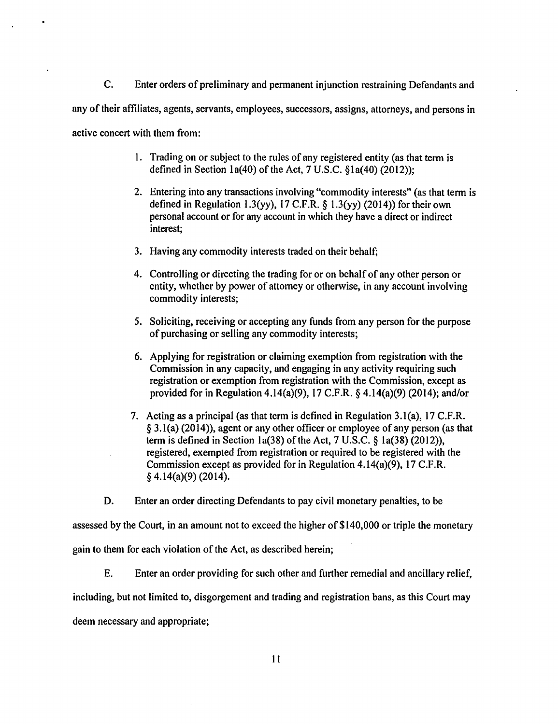C. Enter orders of preliminary and permanent injunction restraining Defendants and any of their affiliates, agents, servants, employees, successors, assigns, attorneys, and persons in active concert with them from:

- 1. Trading on or subject to the rules of any registered entity (as that term is defined in Section la(40) of the Act, 7 U.S.C. §la(40) (2012));
- 2. Entering into any transactions involving "commodity interests" (as that term is defined in Regulation 1.3(yy), 17 C.F.R.  $\S$  1.3(yy) (2014)) for their own personal account or for any account in which they have a direct or indirect interest;
- 3. Having any commodity interests traded on their behalf;
- 4. Controlling or directing the trading for or on behalf of any other person or entity, whether by power of attorney or otherwise, in any account involving commodity interests;
- 5. Soliciting, receiving or accepting any funds from any person for the purpose of purchasing or selling any commodity interests;
- 6. Applying for registration or claiming exemption from registration with the Commission in any capacity, and engaging in any activity requiring such registration or exemption from registration with the Commission, except as provided for in Regulation 4.14(a)(9), 17 C.F.R. § 4.14(a)(9) (2014); and/or
- 7. Acting as a principal (as that term is defined in Regulation 3.1(a), 17 C.F.R. § 3.l(a) (2014)), agent or any other officer or employee of any person (as that term is defined in Section 1a(38) of the Act,  $7 \text{ U.S.C.}$  § 1a(38) (2012)), registered, exempted from registration or required to be registered with the Commission except as provided for in Regulation 4.14(a)(9), 17 C.F.R. § 4.14(a)(9) (2014).

D. Enter an order directing Defendants to pay civil monetary penalties, to be

assessed by the Court, in an amount not to exceed the higher of \$140,000 or triple the monetary gain to them for each violation of the Act, as described herein;

E. Enter an order providing for such other and further remedial and ancillary relief, including, but not limited to, disgorgement and trading and registration bans, as this Court may deem necessary and appropriate;